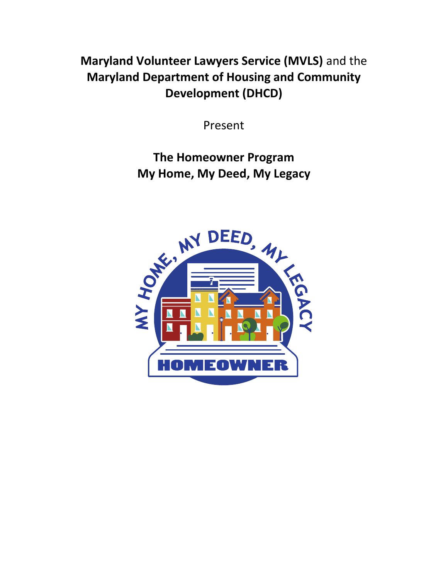**Maryland Volunteer Lawyers Service (MVLS)** and the **Maryland Department of Housing and Community Development (DHCD)**

Present

**The Homeowner Program My Home, My Deed, My Legacy**

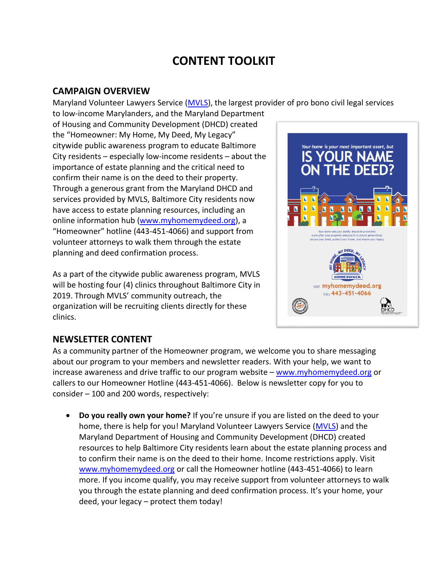# **CONTENT TOOLKIT**

#### **CAMPAIGN OVERVIEW**

Maryland Volunteer Lawyers Service [\(MVLS\)](https://mvlslaw.org/), the largest provider of pro bono civil legal services

to low-income Marylanders, and the Maryland Department of Housing and Community Development (DHCD) created the "Homeowner: My Home, My Deed, My Legacy" citywide public awareness program to educate Baltimore City residents – especially low-income residents – about the importance of estate planning and the critical need to confirm their name is on the deed to their property. Through a generous grant from the Maryland DHCD and services provided by MVLS, Baltimore City residents now have access to estate planning resources, including an online information hub [\(www.myhomemydeed.org\)](http://www.myhomemydeed.org/), a "Homeowner" hotline (443-451-4066) and support from volunteer attorneys to walk them through the estate planning and deed confirmation process.

As a part of the citywide public awareness program, MVLS will be hosting four (4) clinics throughout Baltimore City in 2019. Through MVLS' community outreach, the organization will be recruiting clients directly for these clinics.



# **NEWSLETTER CONTENT**

As a community partner of the Homeowner program, we welcome you to share messaging about our program to your members and newsletter readers. With your help, we want to increase awareness and drive traffic to our program website – [www.myhomemydeed.org](http://www.myhomemydeed.org/) or callers to our Homeowner Hotline (443-451-4066). Below is newsletter copy for you to consider – 100 and 200 words, respectively:

 **Do you really own your home?** If you're unsure if you are listed on the deed to your home, there is help for you! Maryland Volunteer Lawyers Service [\(MVLS\)](https://mvlslaw.org/) and the Maryland Department of Housing and Community Development (DHCD) created resources to help Baltimore City residents learn about the estate planning process and to confirm their name is on the deed to their home. Income restrictions apply. Visit [www.myhomemydeed.org](http://www.myhomemydeed.org/) or call the Homeowner hotline (443-451-4066) to learn more. If you income qualify, you may receive support from volunteer attorneys to walk you through the estate planning and deed confirmation process. It's your home, your deed, your legacy – protect them today!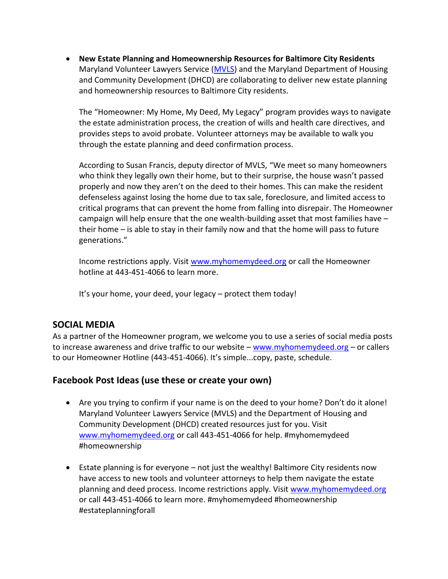**New Estate Planning and Homeownership Resources for Baltimore City Residents** Maryland Volunteer Lawyers Service [\(MVLS\)](https://mvlslaw.org/) and the Maryland Department of Housing and Community Development (DHCD) are collaborating to deliver new estate planning and homeownership resources to Baltimore City residents.

The "Homeowner: My Home, My Deed, My Legacy" program provides ways to navigate the estate administration process, the creation of wills and health care directives, and provides steps to avoid probate. Volunteer attorneys may be available to walk you through the estate planning and deed confirmation process.

According to Susan Francis, deputy director of MVLS, "We meet so many homeowners who think they legally own their home, but to their surprise, the house wasn't passed properly and now they aren't on the deed to their homes. This can make the resident defenseless against losing the home due to tax sale, foreclosure, and limited access to critical programs that can prevent the home from falling into disrepair. The Homeowner campaign will help ensure that the one wealth-building asset that most families have – their home – is able to stay in their family now and that the home will pass to future generations."

Income restrictions apply. Visi[t www.myhomemydeed.org](http://www.myhomemydeed.org/) or call the Homeowner hotline at 443-451-4066 to learn more.

It's your home, your deed, your legacy – protect them today!

# **SOCIAL MEDIA**

As a partner of the Homeowner program, we welcome you to use a series of social media posts to increase awareness and drive traffic to our website – [www.myhomemydeed.org](http://www.myhomemydeed.org/) – or callers to our Homeowner Hotline (443-451-4066). It's simple...copy, paste, schedule.

## **Facebook Post Ideas (use these or create your own)**

- Are you trying to confirm if your name is on the deed to your home? Don't do it alone! Maryland Volunteer Lawyers Service (MVLS) and the Department of Housing and Community Development (DHCD) created resources just for you. Visit [www.myhomemydeed.org](http://www.myhomemydeed.org/) or call 443-451-4066 for help. #myhomemydeed #homeownership
- Estate planning is for everyone not just the wealthy! Baltimore City residents now have access to new tools and volunteer attorneys to help them navigate the estate planning and deed process. Income restrictions apply. Visit [www.myhomemydeed.org](http://www.myhomemydeed.org/) or call 443-451-4066 to learn more. #myhomemydeed #homeownership #estateplanningforall